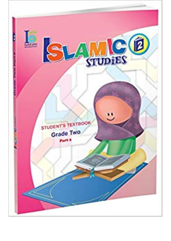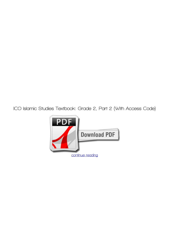**ICO Islamic Studies Textbook: Grade 2, Part 2 (With Access Code)**

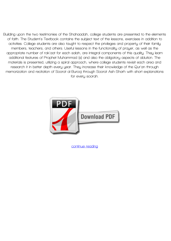**Building upon the two testimonies of the Shahaadah, college students are presented to the elements of faith. The Student's Textbook contains the subject text of the lessons, exercises in addition to activities. College students are also taught to respect the privileges and property of their family members, teachers, and others. Useful lessons in the functionality of prayer, as well as the appropriate number of rak'aat for each salah, are integral components of this quality. They learn additional features of Prophet Muhammad (s) and also the obligatory aspects of ablution. The materials is presented, utilizing a spiral approach, where college students revisit each area and research it in better depth every year. They increase their knowledge of the Qur'an through memorization and recitation of Soorat al-Burooj through Soorat Ash-Sharh with short explanations for every soorah.**



**[continue reading](http://bit.ly/2Tge8Fv)**